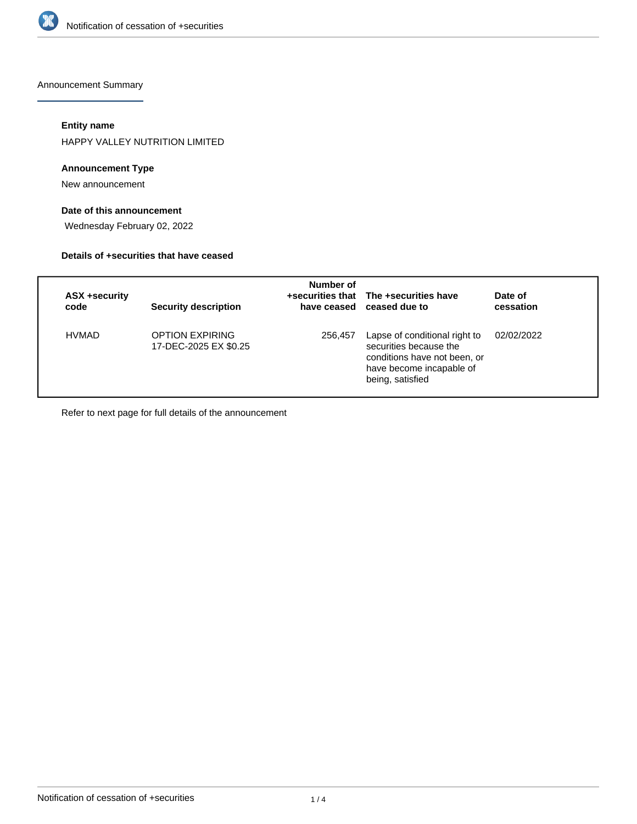

Announcement Summary

## **Entity name**

HAPPY VALLEY NUTRITION LIMITED

#### **Announcement Type**

New announcement

### **Date of this announcement**

Wednesday February 02, 2022

#### **Details of +securities that have ceased**

| ASX +security<br>code | <b>Security description</b>              | Number of | +securities that The +securities have<br>have ceased ceased due to                                                                      | Date of<br>cessation |
|-----------------------|------------------------------------------|-----------|-----------------------------------------------------------------------------------------------------------------------------------------|----------------------|
| <b>HVMAD</b>          | OPTION EXPIRING<br>17-DEC-2025 EX \$0.25 | 256.457   | Lapse of conditional right to<br>securities because the<br>conditions have not been, or<br>have become incapable of<br>being, satisfied | 02/02/2022           |

Refer to next page for full details of the announcement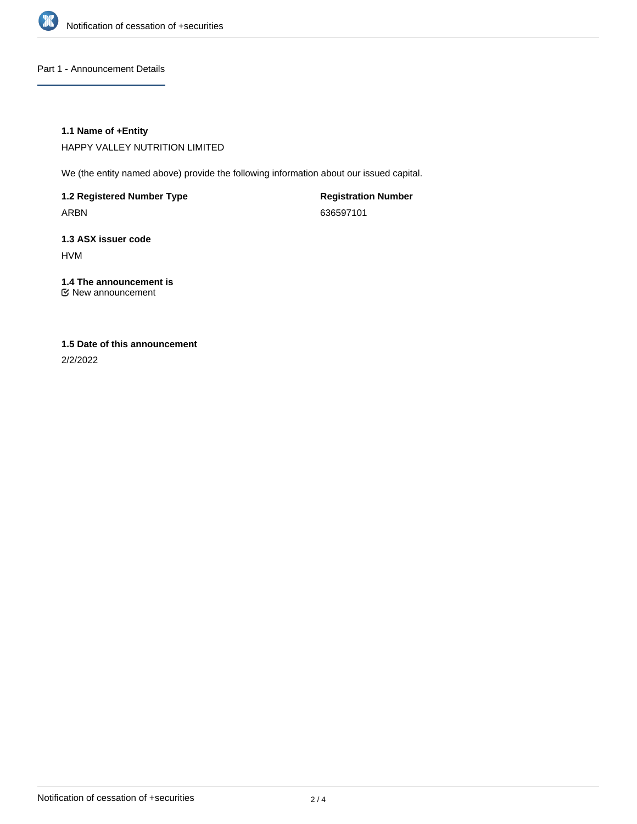

Part 1 - Announcement Details

#### **1.1 Name of +Entity**

HAPPY VALLEY NUTRITION LIMITED

We (the entity named above) provide the following information about our issued capital.

**1.2 Registered Number Type** ARBN

**Registration Number** 636597101

**1.3 ASX issuer code** HVM

**1.4 The announcement is** New announcement

# **1.5 Date of this announcement**

2/2/2022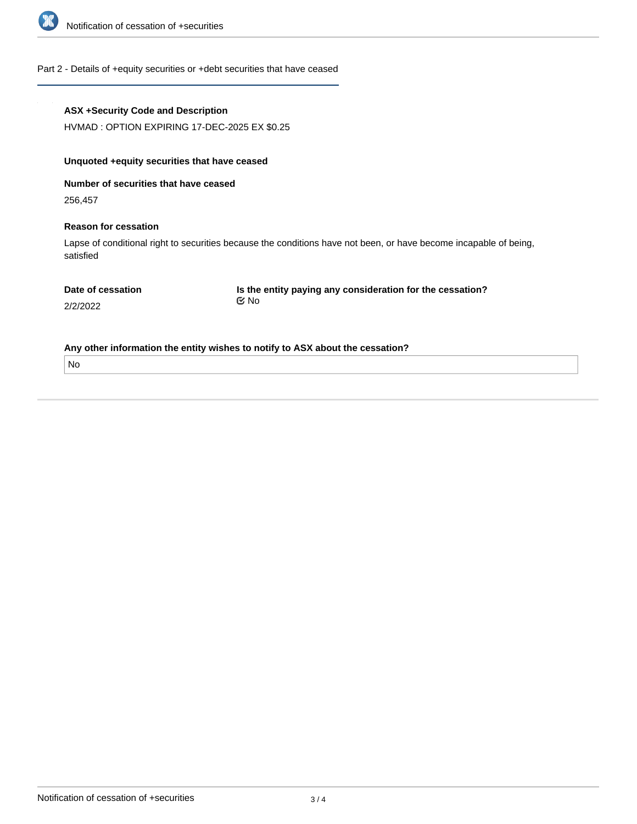

## Part 2 - Details of +equity securities or +debt securities that have ceased

| <b>ASX +Security Code and Description</b><br>HVMAD: OPTION EXPIRING 17-DEC-2025 EX \$0.25                                      |                                                           |  |  |  |  |  |
|--------------------------------------------------------------------------------------------------------------------------------|-----------------------------------------------------------|--|--|--|--|--|
| Unquoted + equity securities that have ceased                                                                                  |                                                           |  |  |  |  |  |
| Number of securities that have ceased                                                                                          |                                                           |  |  |  |  |  |
| 256,457                                                                                                                        |                                                           |  |  |  |  |  |
| <b>Reason for cessation</b>                                                                                                    |                                                           |  |  |  |  |  |
| Lapse of conditional right to securities because the conditions have not been, or have become incapable of being,<br>satisfied |                                                           |  |  |  |  |  |
| Date of cessation                                                                                                              | Is the entity paying any consideration for the cessation? |  |  |  |  |  |
| 2/2/2022                                                                                                                       | $\mathfrak{C}$ No                                         |  |  |  |  |  |
| Any other information the entity wishes to notify to ASX about the cessation?                                                  |                                                           |  |  |  |  |  |
| <b>No</b>                                                                                                                      |                                                           |  |  |  |  |  |
|                                                                                                                                |                                                           |  |  |  |  |  |